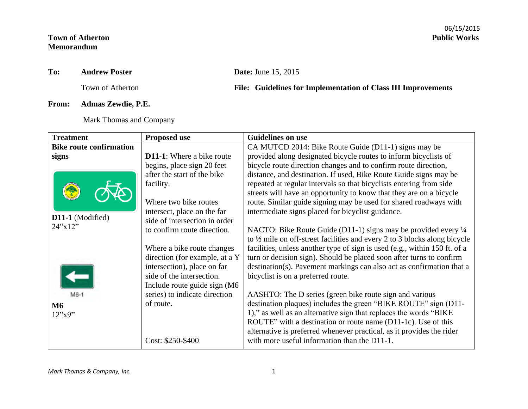## **Town of Atherton Memorandum**

## **To: Andrew Poster Date:** June 15, 2015

**From: Admas Zewdie, P.E.**

Mark Thomas and Company

## Town of Atherton **File: Guidelines for Implementation of Class III Improvements**

| <b>Treatment</b>               | <b>Proposed use</b>              | <b>Guidelines on use</b>                                                             |
|--------------------------------|----------------------------------|--------------------------------------------------------------------------------------|
| <b>Bike route confirmation</b> |                                  | CA MUTCD 2014: Bike Route Guide (D11-1) signs may be                                 |
| signs                          | <b>D11-1:</b> Where a bike route | provided along designated bicycle routes to inform bicyclists of                     |
|                                | begins, place sign 20 feet       | bicycle route direction changes and to confirm route direction,                      |
|                                | after the start of the bike      | distance, and destination. If used, Bike Route Guide signs may be                    |
|                                | facility.                        | repeated at regular intervals so that bicyclists entering from side                  |
|                                |                                  | streets will have an opportunity to know that they are on a bicycle                  |
|                                | Where two bike routes            | route. Similar guide signing may be used for shared roadways with                    |
|                                | intersect, place on the far      | intermediate signs placed for bicyclist guidance.                                    |
| D11-1 (Modified)               | side of intersection in order    |                                                                                      |
| 24''x12''                      | to confirm route direction.      | NACTO: Bike Route Guide (D11-1) signs may be provided every $\frac{1}{4}$            |
|                                |                                  | to $\frac{1}{2}$ mile on off-street facilities and every 2 to 3 blocks along bicycle |
|                                | Where a bike route changes       | facilities, unless another type of sign is used (e.g., within 150 ft. of a           |
|                                | direction (for example, at a Y   | turn or decision sign). Should be placed soon after turns to confirm                 |
|                                | intersection), place on far      | destination(s). Pavement markings can also act as confirmation that a                |
|                                | side of the intersection.        | bicyclist is on a preferred route.                                                   |
|                                | Include route guide sign (M6     |                                                                                      |
| M6-1                           | series) to indicate direction    | AASHTO: The D series (green bike route sign and various                              |
| M6                             | of route.                        | destination plaques) includes the green "BIKE ROUTE" sign (D11-                      |
| 12"x9"                         |                                  | 1)," as well as an alternative sign that replaces the words "BIKE"                   |
|                                |                                  | ROUTE" with a destination or route name (D11-1c). Use of this                        |
|                                |                                  | alternative is preferred whenever practical, as it provides the rider                |
|                                | Cost: \$250-\$400                | with more useful information than the D11-1.                                         |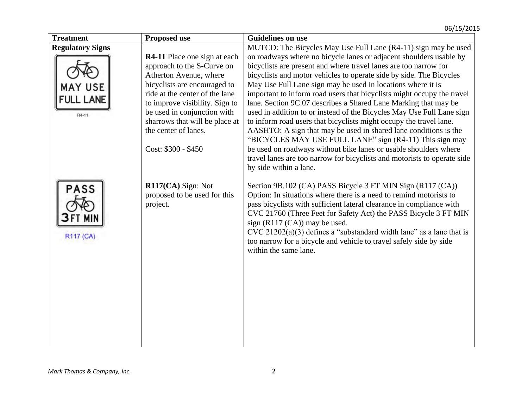| <b>Treatment</b>                | <b>Proposed use</b>                                              | <b>Guidelines on use</b>                                                                                                                                                                                                                                                                                                                                                                                                                                                              |
|---------------------------------|------------------------------------------------------------------|---------------------------------------------------------------------------------------------------------------------------------------------------------------------------------------------------------------------------------------------------------------------------------------------------------------------------------------------------------------------------------------------------------------------------------------------------------------------------------------|
| <b>Regulatory Signs</b>         |                                                                  | MUTCD: The Bicycles May Use Full Lane (R4-11) sign may be used                                                                                                                                                                                                                                                                                                                                                                                                                        |
|                                 | <b>R4-11</b> Place one sign at each                              | on roadways where no bicycle lanes or adjacent shoulders usable by                                                                                                                                                                                                                                                                                                                                                                                                                    |
|                                 | approach to the S-Curve on                                       | bicyclists are present and where travel lanes are too narrow for                                                                                                                                                                                                                                                                                                                                                                                                                      |
|                                 | Atherton Avenue, where                                           | bicyclists and motor vehicles to operate side by side. The Bicycles                                                                                                                                                                                                                                                                                                                                                                                                                   |
| <b>USE</b>                      | bicyclists are encouraged to                                     | May Use Full Lane sign may be used in locations where it is                                                                                                                                                                                                                                                                                                                                                                                                                           |
|                                 | ride at the center of the lane                                   | important to inform road users that bicyclists might occupy the travel                                                                                                                                                                                                                                                                                                                                                                                                                |
| <b>FULL LANE</b>                | to improve visibility. Sign to                                   | lane. Section 9C.07 describes a Shared Lane Marking that may be                                                                                                                                                                                                                                                                                                                                                                                                                       |
| R4-11                           | be used in conjunction with                                      | used in addition to or instead of the Bicycles May Use Full Lane sign                                                                                                                                                                                                                                                                                                                                                                                                                 |
|                                 | sharrows that will be place at                                   | to inform road users that bicyclists might occupy the travel lane.                                                                                                                                                                                                                                                                                                                                                                                                                    |
|                                 | the center of lanes.                                             | AASHTO: A sign that may be used in shared lane conditions is the                                                                                                                                                                                                                                                                                                                                                                                                                      |
|                                 |                                                                  | "BICYCLES MAY USE FULL LANE" sign (R4-11) This sign may                                                                                                                                                                                                                                                                                                                                                                                                                               |
|                                 | Cost: \$300 - \$450                                              | be used on roadways without bike lanes or usable shoulders where                                                                                                                                                                                                                                                                                                                                                                                                                      |
|                                 |                                                                  | travel lanes are too narrow for bicyclists and motorists to operate side                                                                                                                                                                                                                                                                                                                                                                                                              |
|                                 |                                                                  | by side within a lane.                                                                                                                                                                                                                                                                                                                                                                                                                                                                |
|                                 |                                                                  |                                                                                                                                                                                                                                                                                                                                                                                                                                                                                       |
| <b>PASS</b><br><b>R117 (CA)</b> | $R117(CA)$ Sign: Not<br>proposed to be used for this<br>project. | Section 9B.102 (CA) PASS Bicycle 3 FT MIN Sign (R117 (CA))<br>Option: In situations where there is a need to remind motorists to<br>pass bicyclists with sufficient lateral clearance in compliance with<br>CVC 21760 (Three Feet for Safety Act) the PASS Bicycle 3 FT MIN<br>sign (R117 (CA)) may be used.<br>$CVC$ 21202(a)(3) defines a "substandard width lane" as a lane that is<br>too narrow for a bicycle and vehicle to travel safely side by side<br>within the same lane. |
|                                 |                                                                  |                                                                                                                                                                                                                                                                                                                                                                                                                                                                                       |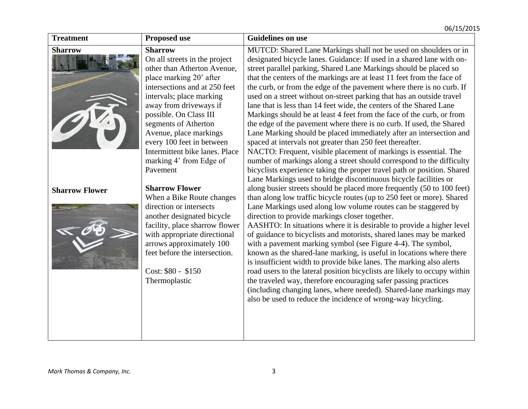| <b>Treatment</b>      | <b>Proposed use</b>                                                                                                                                                                                                                                                                                                                                                                | <b>Guidelines on use</b>                                                                                                                                                                                                                                                                                                                                                                                                                                                                                                                                                                                                                                                                                                                                                                                                                                                                                                                                                                                                                                                                           |
|-----------------------|------------------------------------------------------------------------------------------------------------------------------------------------------------------------------------------------------------------------------------------------------------------------------------------------------------------------------------------------------------------------------------|----------------------------------------------------------------------------------------------------------------------------------------------------------------------------------------------------------------------------------------------------------------------------------------------------------------------------------------------------------------------------------------------------------------------------------------------------------------------------------------------------------------------------------------------------------------------------------------------------------------------------------------------------------------------------------------------------------------------------------------------------------------------------------------------------------------------------------------------------------------------------------------------------------------------------------------------------------------------------------------------------------------------------------------------------------------------------------------------------|
| <b>Sharrow</b>        | <b>Sharrow</b><br>On all streets in the project<br>other than Atherton Avenue,<br>place marking 20' after<br>intersections and at 250 feet<br>intervals; place marking<br>away from driveways if<br>possible. On Class III<br>segments of Atherton<br>Avenue, place markings<br>every 100 feet in between<br>Intermittent bike lanes. Place<br>marking 4' from Edge of<br>Pavement | MUTCD: Shared Lane Markings shall not be used on shoulders or in<br>designated bicycle lanes. Guidance: If used in a shared lane with on-<br>street parallel parking, Shared Lane Markings should be placed so<br>that the centers of the markings are at least 11 feet from the face of<br>the curb, or from the edge of the pavement where there is no curb. If<br>used on a street without on-street parking that has an outside travel<br>lane that is less than 14 feet wide, the centers of the Shared Lane<br>Markings should be at least 4 feet from the face of the curb, or from<br>the edge of the pavement where there is no curb. If used, the Shared<br>Lane Marking should be placed immediately after an intersection and<br>spaced at intervals not greater than 250 feet thereafter.<br>NACTO: Frequent, visible placement of markings is essential. The<br>number of markings along a street should correspond to the difficulty<br>bicyclists experience taking the proper travel path or position. Shared<br>Lane Markings used to bridge discontinuous bicycle facilities or |
| <b>Sharrow Flower</b> | <b>Sharrow Flower</b><br>When a Bike Route changes<br>direction or intersects<br>another designated bicycle<br>facility, place sharrow flower<br>with appropriate directional<br>arrows approximately 100<br>feet before the intersection.<br>Cost: \$80 - \$150<br>Thermoplastic                                                                                                  | along busier streets should be placed more frequently (50 to 100 feet)<br>than along low traffic bicycle routes (up to 250 feet or more). Shared<br>Lane Markings used along low volume routes can be staggered by<br>direction to provide markings closer together.<br>AASHTO: In situations where it is desirable to provide a higher level<br>of guidance to bicyclists and motorists, shared lanes may be marked<br>with a pavement marking symbol (see Figure 4-4). The symbol,<br>known as the shared-lane marking, is useful in locations where there<br>is insufficient width to provide bike lanes. The marking also alerts<br>road users to the lateral position bicyclists are likely to occupy within<br>the traveled way, therefore encouraging safer passing practices<br>(including changing lanes, where needed). Shared-lane markings may<br>also be used to reduce the incidence of wrong-way bicycling.                                                                                                                                                                         |